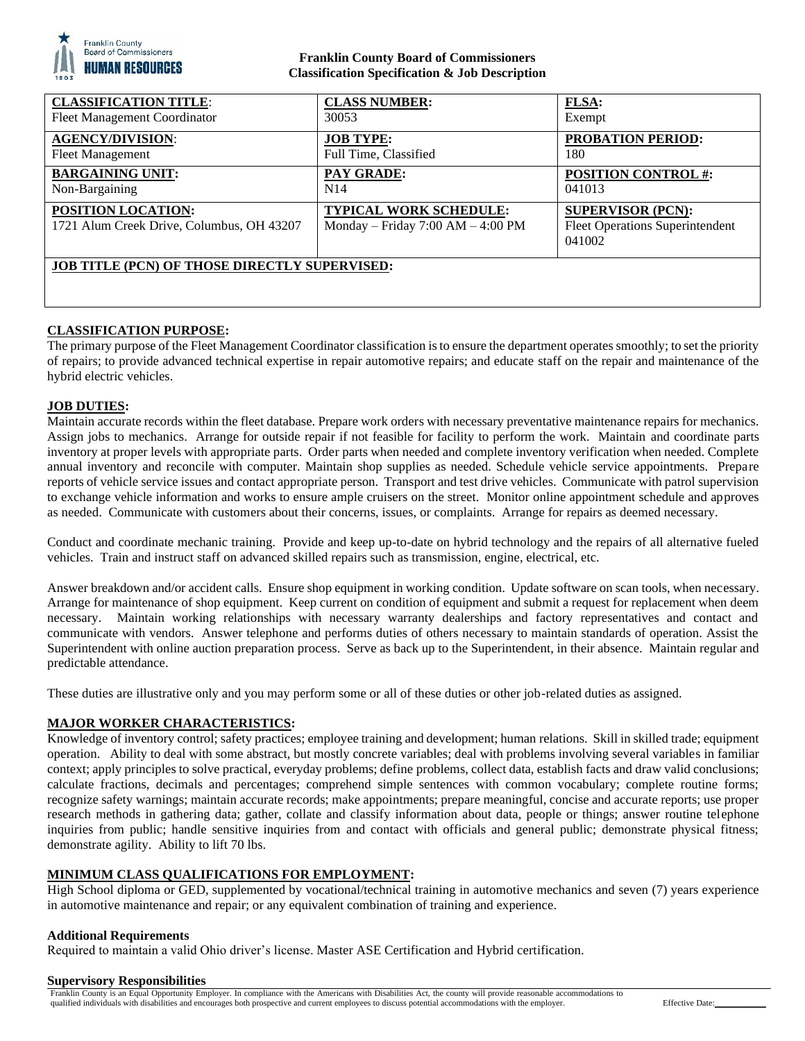

## **Franklin County Board of Commissioners Classification Specification & Job Description**

| <b>CLASSIFICATION TITLE:</b>                                    | <b>CLASS NUMBER:</b>                                                 | <b>FLSA:</b>                                                                 |
|-----------------------------------------------------------------|----------------------------------------------------------------------|------------------------------------------------------------------------------|
| Fleet Management Coordinator                                    | 30053                                                                | Exempt                                                                       |
| <b>AGENCY/DIVISION:</b>                                         | <b>JOB TYPE:</b>                                                     | <b>PROBATION PERIOD:</b>                                                     |
| <b>Fleet Management</b>                                         | Full Time, Classified                                                | 180                                                                          |
| <b>BARGAINING UNIT:</b>                                         | <b>PAY GRADE:</b>                                                    | <b>POSITION CONTROL #:</b>                                                   |
| Non-Bargaining                                                  | N14                                                                  | 041013                                                                       |
| POSITION LOCATION:<br>1721 Alum Creek Drive, Columbus, OH 43207 | <b>TYPICAL WORK SCHEDULE:</b><br>Monday – Friday $7:00 AM - 4:00 PM$ | <b>SUPERVISOR (PCN):</b><br><b>Fleet Operations Superintendent</b><br>041002 |
| <b>JOB TITLE (PCN) OF THOSE DIRECTLY SUPERVISED:</b>            |                                                                      |                                                                              |

# **CLASSIFICATION PURPOSE:**

The primary purpose of the Fleet Management Coordinator classification is to ensure the department operates smoothly; to set the priority of repairs; to provide advanced technical expertise in repair automotive repairs; and educate staff on the repair and maintenance of the hybrid electric vehicles.

### **JOB DUTIES:**

Maintain accurate records within the fleet database. Prepare work orders with necessary preventative maintenance repairs for mechanics. Assign jobs to mechanics. Arrange for outside repair if not feasible for facility to perform the work. Maintain and coordinate parts inventory at proper levels with appropriate parts. Order parts when needed and complete inventory verification when needed. Complete annual inventory and reconcile with computer. Maintain shop supplies as needed. Schedule vehicle service appointments. Prepare reports of vehicle service issues and contact appropriate person. Transport and test drive vehicles. Communicate with patrol supervision to exchange vehicle information and works to ensure ample cruisers on the street. Monitor online appointment schedule and approves as needed. Communicate with customers about their concerns, issues, or complaints. Arrange for repairs as deemed necessary.

Conduct and coordinate mechanic training. Provide and keep up-to-date on hybrid technology and the repairs of all alternative fueled vehicles. Train and instruct staff on advanced skilled repairs such as transmission, engine, electrical, etc.

Answer breakdown and/or accident calls. Ensure shop equipment in working condition. Update software on scan tools, when necessary. Arrange for maintenance of shop equipment. Keep current on condition of equipment and submit a request for replacement when deem necessary. Maintain working relationships with necessary warranty dealerships and factory representatives and contact and communicate with vendors. Answer telephone and performs duties of others necessary to maintain standards of operation. Assist the Superintendent with online auction preparation process. Serve as back up to the Superintendent, in their absence. Maintain regular and predictable attendance.

These duties are illustrative only and you may perform some or all of these duties or other job-related duties as assigned.

### **MAJOR WORKER CHARACTERISTICS:**

Knowledge of inventory control; safety practices; employee training and development; human relations. Skill in skilled trade; equipment operation. Ability to deal with some abstract, but mostly concrete variables; deal with problems involving several variables in familiar context; apply principles to solve practical, everyday problems; define problems, collect data, establish facts and draw valid conclusions; calculate fractions, decimals and percentages; comprehend simple sentences with common vocabulary; complete routine forms; recognize safety warnings; maintain accurate records; make appointments; prepare meaningful, concise and accurate reports; use proper research methods in gathering data; gather, collate and classify information about data, people or things; answer routine telephone inquiries from public; handle sensitive inquiries from and contact with officials and general public; demonstrate physical fitness; demonstrate agility. Ability to lift 70 lbs.

### **MINIMUM CLASS QUALIFICATIONS FOR EMPLOYMENT:**

High School diploma or GED, supplemented by vocational/technical training in automotive mechanics and seven (7) years experience in automotive maintenance and repair; or any equivalent combination of training and experience.

### **Additional Requirements**

Required to maintain a valid Ohio driver's license. Master ASE Certification and Hybrid certification.

#### **Supervisory Responsibilities**